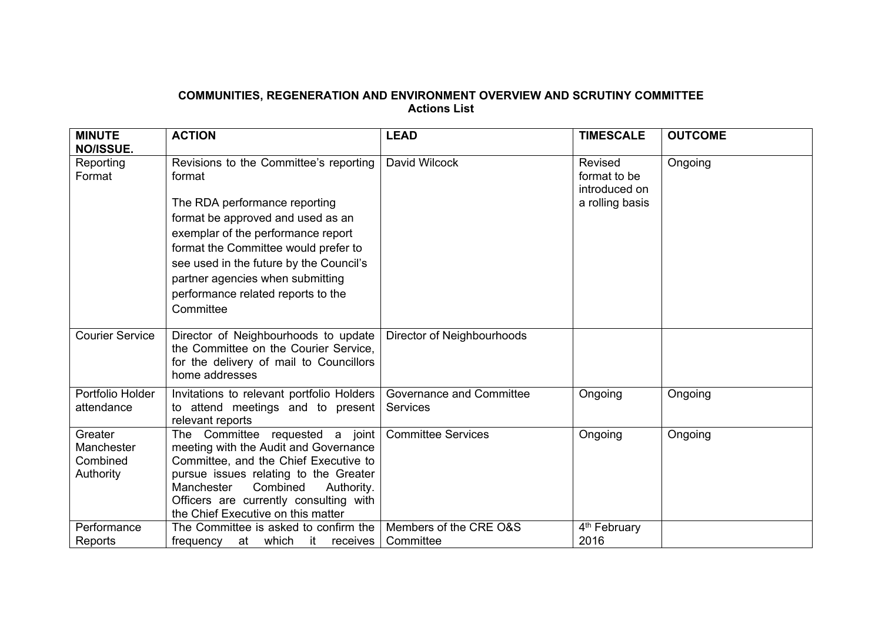## **COMMUNITIES, REGENERATION AND ENVIRONMENT OVERVIEW AND SCRUTINY COMMITTEE Actions List**

| <b>MINUTE</b><br>NO/ISSUE.                     | <b>ACTION</b>                                                                                                                                                                                                                                                                                                                          | <b>LEAD</b>                                 | <b>TIMESCALE</b>                                            | <b>OUTCOME</b> |
|------------------------------------------------|----------------------------------------------------------------------------------------------------------------------------------------------------------------------------------------------------------------------------------------------------------------------------------------------------------------------------------------|---------------------------------------------|-------------------------------------------------------------|----------------|
| Reporting<br>Format                            | Revisions to the Committee's reporting<br>format<br>The RDA performance reporting<br>format be approved and used as an<br>exemplar of the performance report<br>format the Committee would prefer to<br>see used in the future by the Council's<br>partner agencies when submitting<br>performance related reports to the<br>Committee | David Wilcock                               | Revised<br>format to be<br>introduced on<br>a rolling basis | Ongoing        |
| <b>Courier Service</b>                         | Director of Neighbourhoods to update<br>the Committee on the Courier Service,<br>for the delivery of mail to Councillors<br>home addresses                                                                                                                                                                                             | Director of Neighbourhoods                  |                                                             |                |
| Portfolio Holder<br>attendance                 | Invitations to relevant portfolio Holders  <br>to attend meetings and to present<br>relevant reports                                                                                                                                                                                                                                   | <b>Governance and Committee</b><br>Services | Ongoing                                                     | Ongoing        |
| Greater<br>Manchester<br>Combined<br>Authority | The Committee requested a joint<br>meeting with the Audit and Governance<br>Committee, and the Chief Executive to<br>pursue issues relating to the Greater<br>Manchester<br>Combined<br>Authority.<br>Officers are currently consulting with<br>the Chief Executive on this matter                                                     | <b>Committee Services</b>                   | Ongoing                                                     | Ongoing        |
| Performance<br>Reports                         | The Committee is asked to confirm the<br>at which<br>it receives  <br>frequency                                                                                                                                                                                                                                                        | Members of the CRE O&S<br>Committee         | 4 <sup>th</sup> February<br>2016                            |                |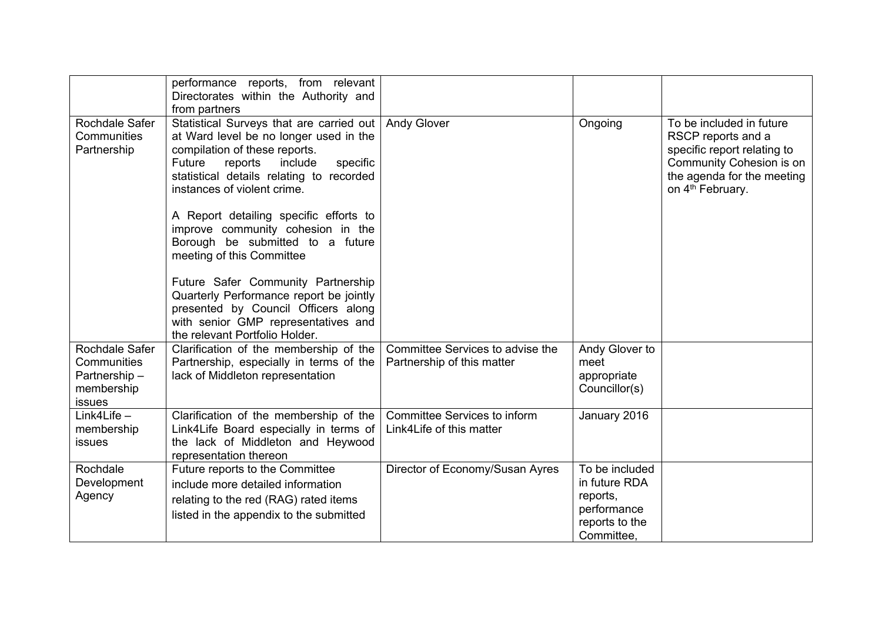|                                                                       | performance reports, from relevant<br>Directorates within the Authority and<br>from partners                                                                                                                                               |                                                                |                                                                                            |                                                                                                                                                                         |
|-----------------------------------------------------------------------|--------------------------------------------------------------------------------------------------------------------------------------------------------------------------------------------------------------------------------------------|----------------------------------------------------------------|--------------------------------------------------------------------------------------------|-------------------------------------------------------------------------------------------------------------------------------------------------------------------------|
| Rochdale Safer<br>Communities<br>Partnership                          | Statistical Surveys that are carried out<br>at Ward level be no longer used in the<br>compilation of these reports.<br>specific<br>Future<br>reports<br>include<br>statistical details relating to recorded<br>instances of violent crime. | <b>Andy Glover</b>                                             | Ongoing                                                                                    | To be included in future<br>RSCP reports and a<br>specific report relating to<br>Community Cohesion is on<br>the agenda for the meeting<br>on 4 <sup>th</sup> February. |
|                                                                       | A Report detailing specific efforts to<br>improve community cohesion in the<br>Borough be submitted to a future<br>meeting of this Committee                                                                                               |                                                                |                                                                                            |                                                                                                                                                                         |
|                                                                       | Future Safer Community Partnership<br>Quarterly Performance report be jointly<br>presented by Council Officers along<br>with senior GMP representatives and<br>the relevant Portfolio Holder.                                              |                                                                |                                                                                            |                                                                                                                                                                         |
| Rochdale Safer<br>Communities<br>Partnership-<br>membership<br>issues | Clarification of the membership of the<br>Partnership, especially in terms of the<br>lack of Middleton representation                                                                                                                      | Committee Services to advise the<br>Partnership of this matter | Andy Glover to<br>meet<br>appropriate<br>Councillor(s)                                     |                                                                                                                                                                         |
| Link4Life $-$<br>membership<br>issues                                 | Clarification of the membership of the<br>Link4Life Board especially in terms of<br>the lack of Middleton and Heywood<br>representation thereon                                                                                            | Committee Services to inform<br>Link4Life of this matter       | January 2016                                                                               |                                                                                                                                                                         |
| Rochdale<br>Development<br>Agency                                     | Future reports to the Committee<br>include more detailed information<br>relating to the red (RAG) rated items<br>listed in the appendix to the submitted                                                                                   | Director of Economy/Susan Ayres                                | To be included<br>in future RDA<br>reports,<br>performance<br>reports to the<br>Committee, |                                                                                                                                                                         |